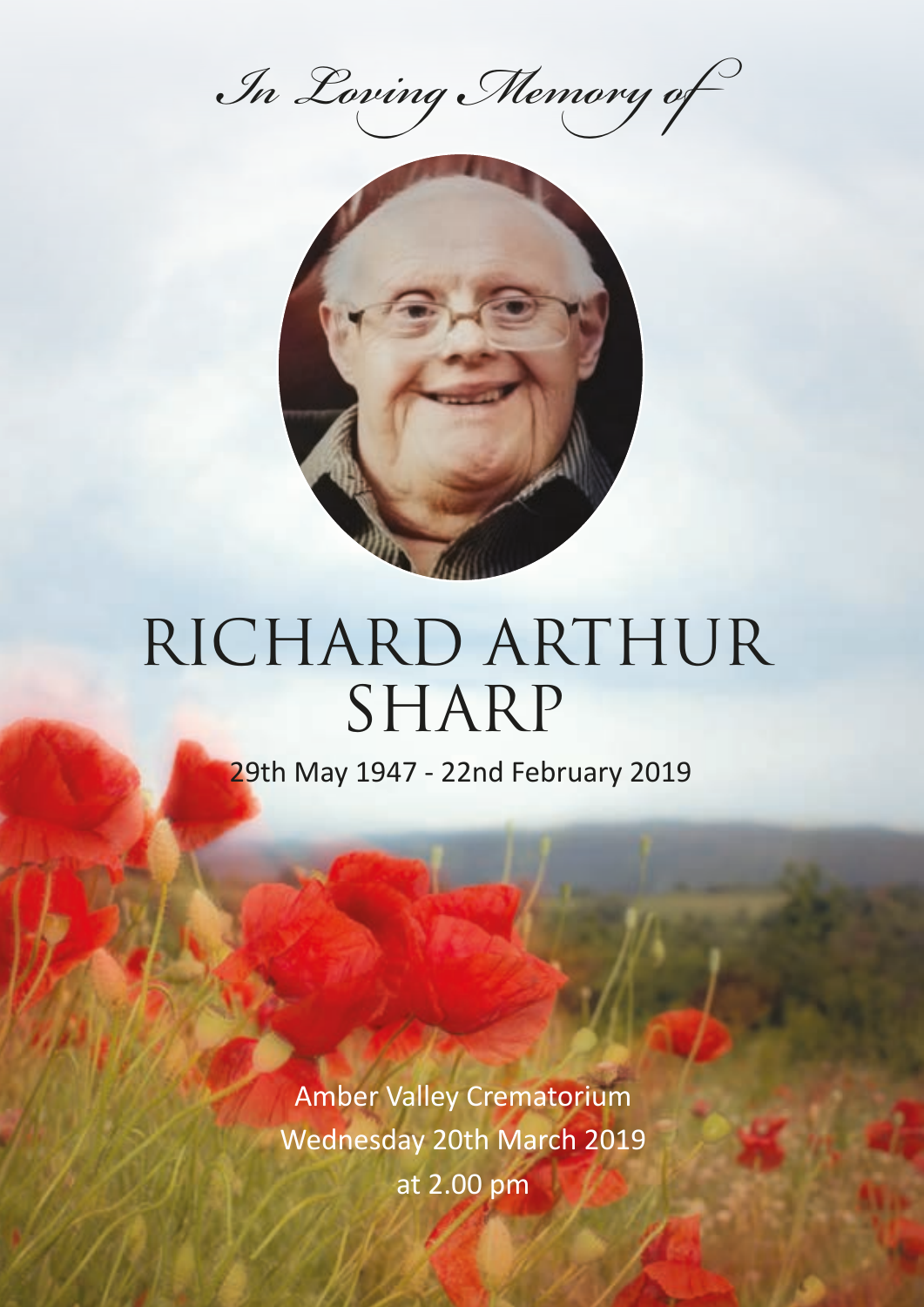*In Loving Memory of*



# RICHARD ARTHUR SHARP

29th May 1947 - 22nd February 2019

Amber Valley Crematorium Wednesday 20th March 2019 at 2.00 pm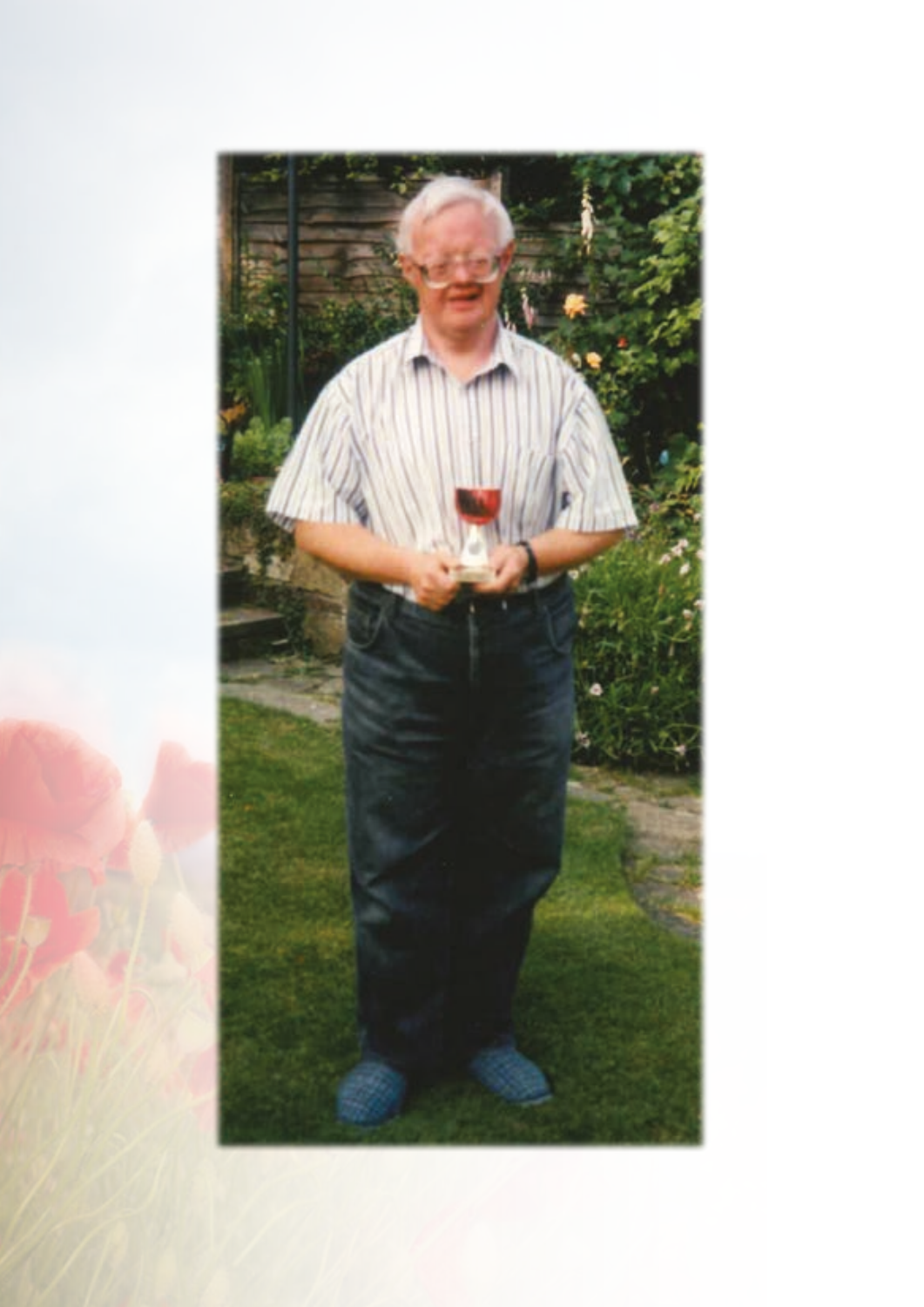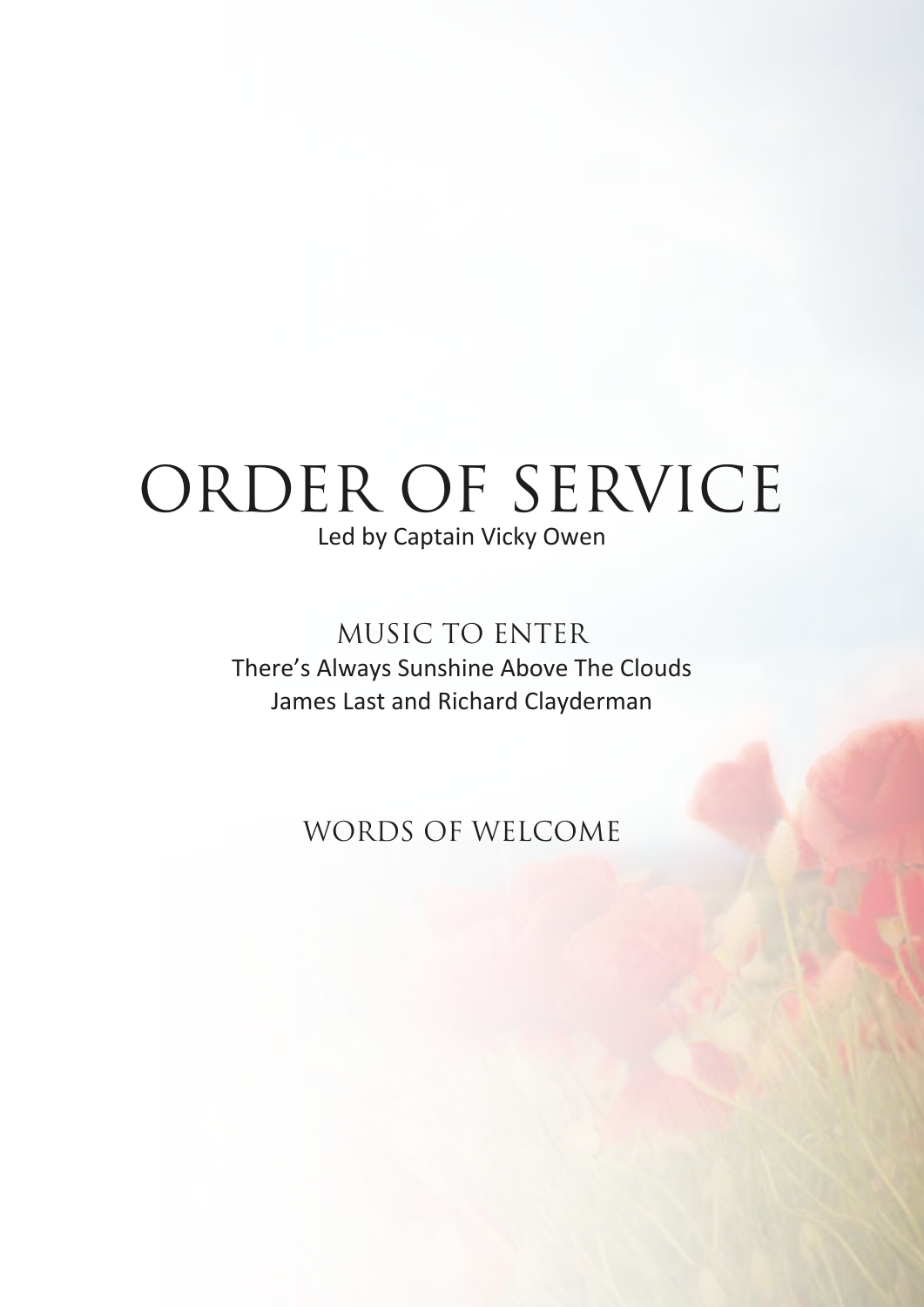## ORDER OF SERVICE Led by Captain Vicky Owen

MUSIC TO ENTER There's Always Sunshine Above The Clouds James Last and Richard Clayderman

WORDS OF WELCOME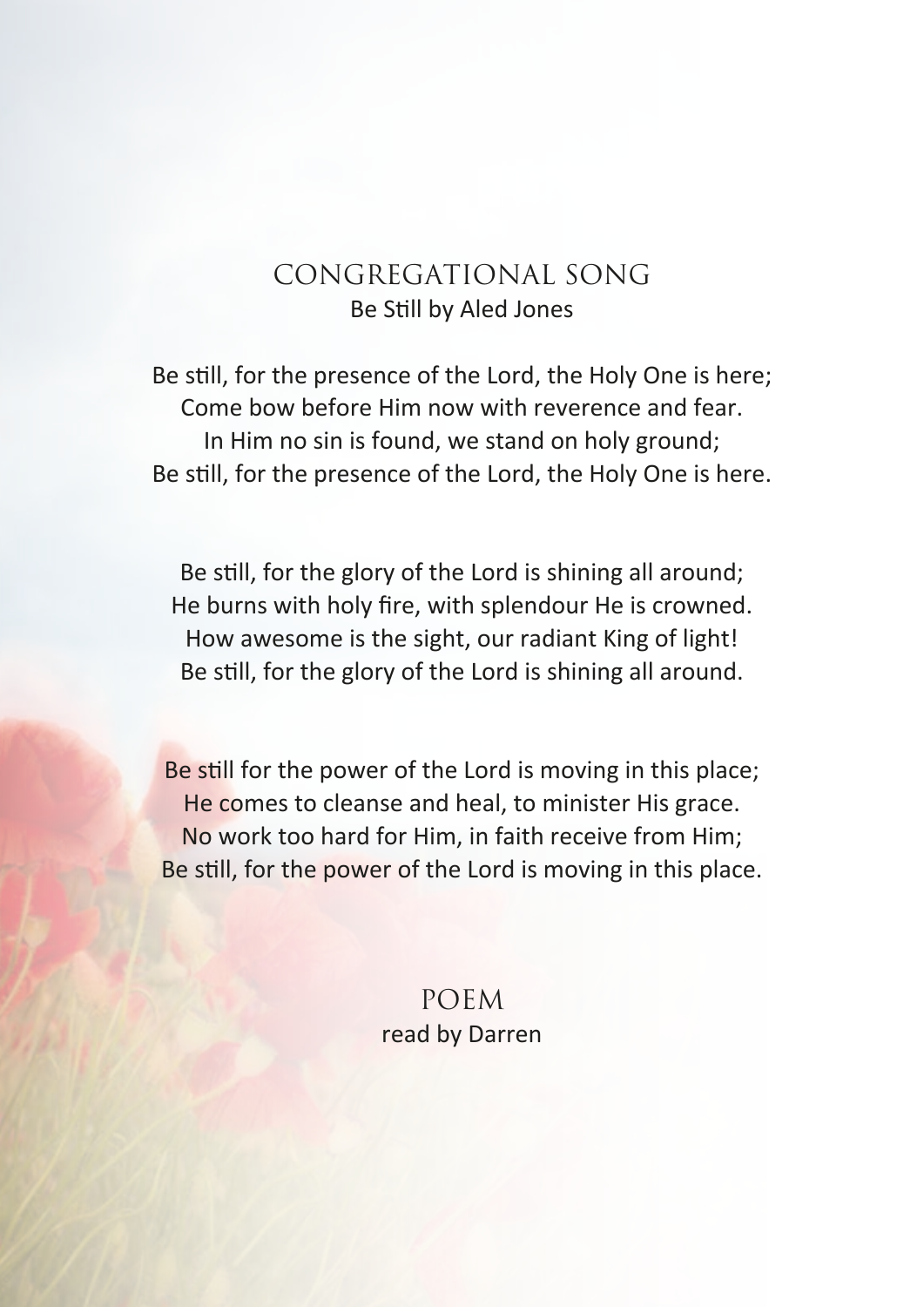#### CONGREGATIONAL SONG Be Still by Aled Jones

Be still, for the presence of the Lord, the Holy One is here; Come bow before Him now with reverence and fear. In Him no sin is found, we stand on holy ground; Be still, for the presence of the Lord, the Holy One is here.

Be still, for the glory of the Lord is shining all around; He burns with holy fire, with splendour He is crowned. How awesome is the sight, our radiant King of light! Be still, for the glory of the Lord is shining all around.

Be still for the power of the Lord is moving in this place; He comes to cleanse and heal, to minister His grace. No work too hard for Him, in faith receive from Him; Be still, for the power of the Lord is moving in this place.

#### POEM read by Darren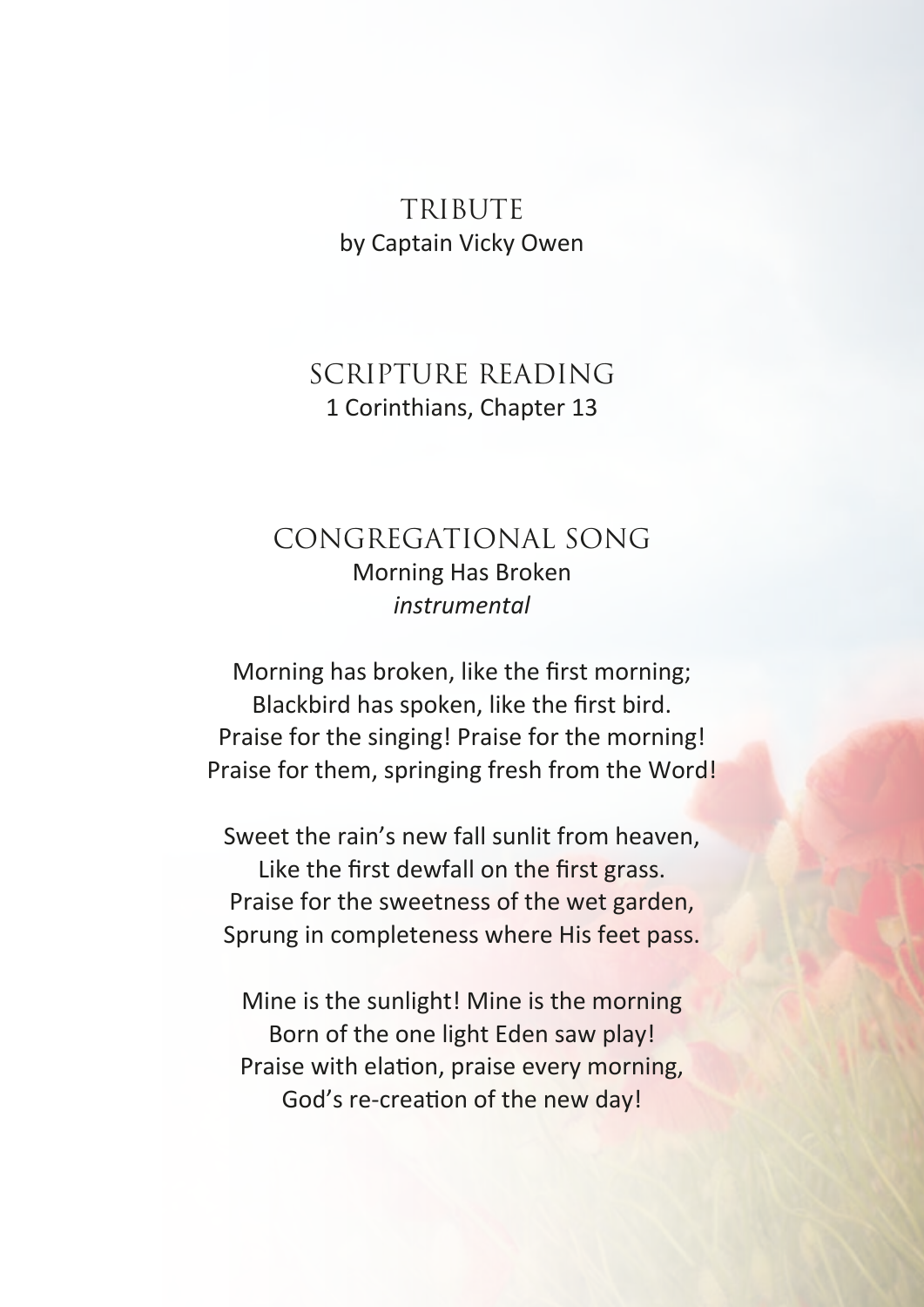#### TRIBUTE by Captain Vicky Owen

#### SCRIPTURE READING 1 Corinthians, Chapter 13

#### CONGREGATIONAL SONG Morning Has Broken *instrumental*

Morning has broken, like the first morning; Blackbird has spoken, like the first bird. Praise for the singing! Praise for the morning! Praise for them, springing fresh from the Word!

Sweet the rain's new fall sunlit from heaven, Like the first dewfall on the first grass. Praise for the sweetness of the wet garden, Sprung in completeness where His feet pass.

Mine is the sunlight! Mine is the morning Born of the one light Eden saw play! Praise with elation, praise every morning, God's re-creation of the new day!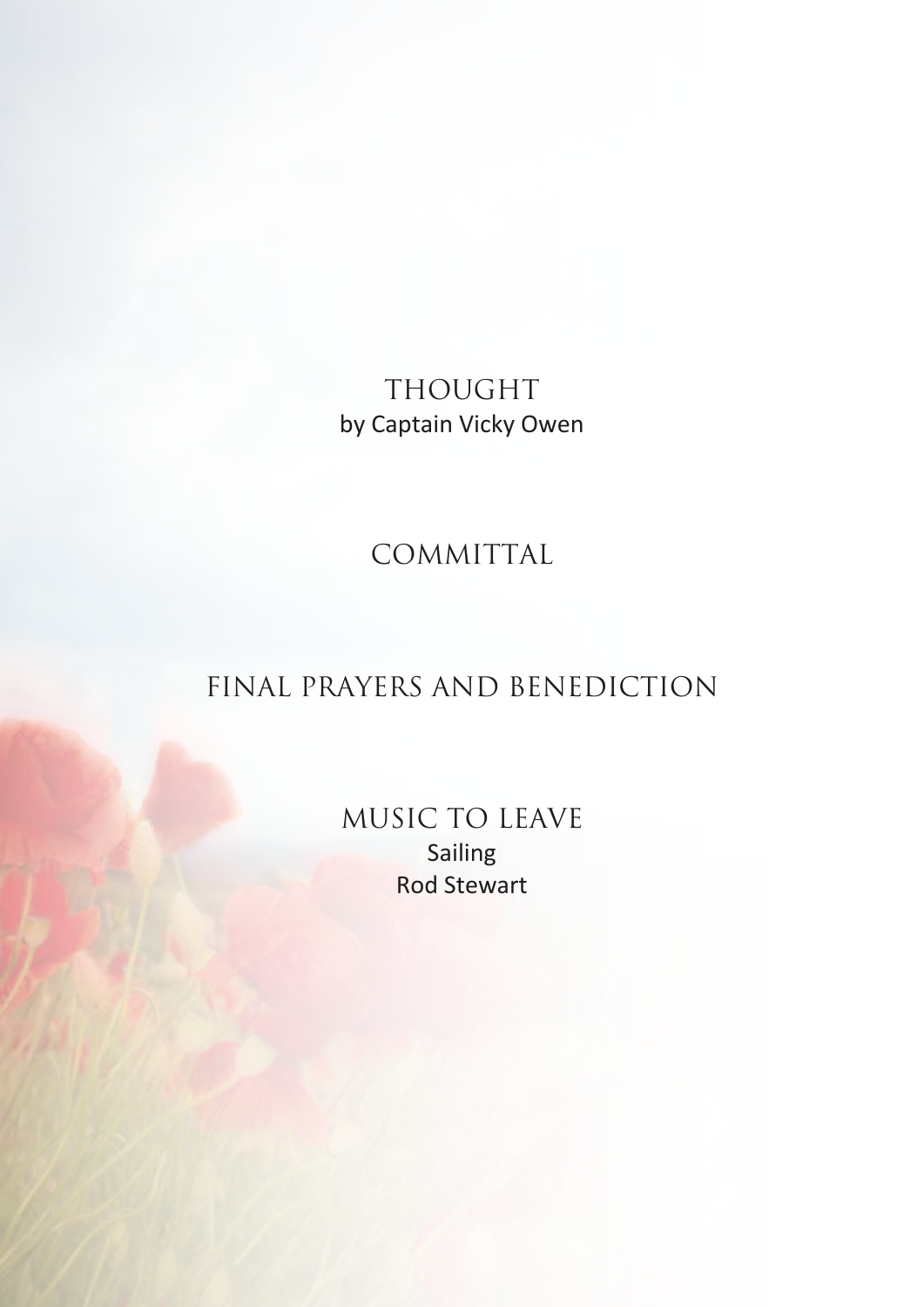THOUGHT by Captain Vicky Owen

### COMMITTAL

#### FINAL PRAYERS AND BENEDICTION

MUSIC TO LEAVE Sailing Rod Stewart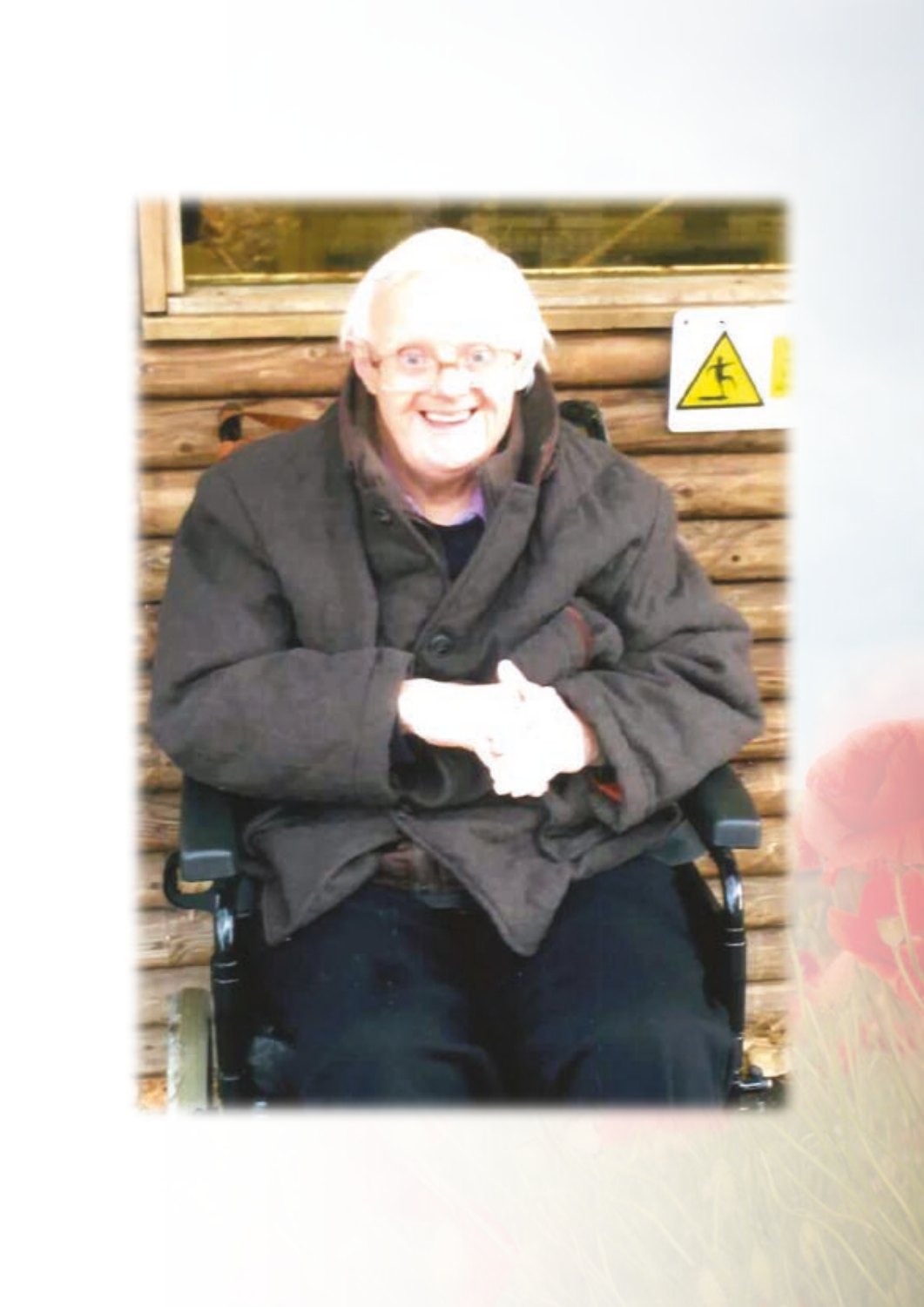